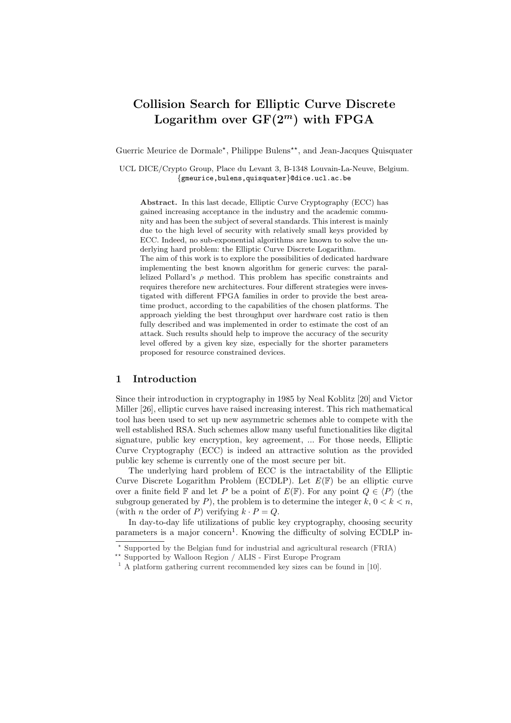# Collision Search for Elliptic Curve Discrete Logarithm over  $GF(2^m)$  with FPGA

Guerric Meurice de Dormale\*, Philippe Bulens\*\*, and Jean-Jacques Quisquater

UCL DICE/Crypto Group, Place du Levant 3, B-1348 Louvain-La-Neuve, Belgium. {gmeurice,bulens,quisquater}@dice.ucl.ac.be

Abstract. In this last decade, Elliptic Curve Cryptography (ECC) has gained increasing acceptance in the industry and the academic community and has been the subject of several standards. This interest is mainly due to the high level of security with relatively small keys provided by ECC. Indeed, no sub-exponential algorithms are known to solve the underlying hard problem: the Elliptic Curve Discrete Logarithm.

The aim of this work is to explore the possibilities of dedicated hardware implementing the best known algorithm for generic curves: the parallelized Pollard's  $\rho$  method. This problem has specific constraints and requires therefore new architectures. Four different strategies were investigated with different FPGA families in order to provide the best areatime product, according to the capabilities of the chosen platforms. The approach yielding the best throughput over hardware cost ratio is then fully described and was implemented in order to estimate the cost of an attack. Such results should help to improve the accuracy of the security level offered by a given key size, especially for the shorter parameters proposed for resource constrained devices.

### 1 Introduction

Since their introduction in cryptography in 1985 by Neal Koblitz [20] and Victor Miller [26], elliptic curves have raised increasing interest. This rich mathematical tool has been used to set up new asymmetric schemes able to compete with the well established RSA. Such schemes allow many useful functionalities like digital signature, public key encryption, key agreement, ... For those needs, Elliptic Curve Cryptography (ECC) is indeed an attractive solution as the provided public key scheme is currently one of the most secure per bit.

The underlying hard problem of ECC is the intractability of the Elliptic Curve Discrete Logarithm Problem (ECDLP). Let  $E(\mathbb{F})$  be an elliptic curve over a finite field F and let P be a point of  $E(\mathbb{F})$ . For any point  $Q \in \langle P \rangle$  (the subgroup generated by  $P$ ), the problem is to determine the integer  $k, 0 < k < n$ , (with *n* the order of *P*) verifying  $k \cdot P = Q$ .

In day-to-day life utilizations of public key cryptography, choosing security parameters is a major concern<sup>1</sup>. Knowing the difficulty of solving ECDLP in-

<sup>?</sup> Supported by the Belgian fund for industrial and agricultural research (FRIA)

<sup>\*\*</sup> Supported by Walloon Region / ALIS - First Europe Program

 $1 A$  platform gathering current recommended key sizes can be found in [10].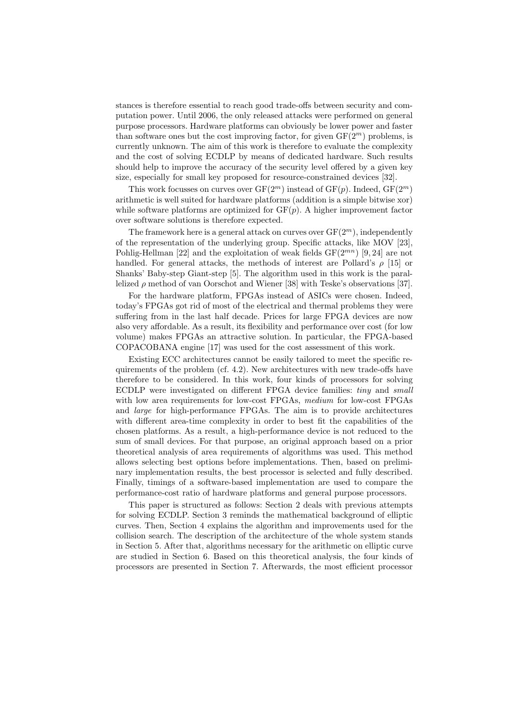stances is therefore essential to reach good trade-offs between security and computation power. Until 2006, the only released attacks were performed on general purpose processors. Hardware platforms can obviously be lower power and faster than software ones but the cost improving factor, for given  $GF(2^m)$  problems, is currently unknown. The aim of this work is therefore to evaluate the complexity and the cost of solving ECDLP by means of dedicated hardware. Such results should help to improve the accuracy of the security level offered by a given key size, especially for small key proposed for resource-constrained devices [32].

This work focusses on curves over  $GF(2^m)$  instead of  $GF(p)$ . Indeed,  $GF(2^m)$ arithmetic is well suited for hardware platforms (addition is a simple bitwise xor) while software platforms are optimized for  $GF(p)$ . A higher improvement factor over software solutions is therefore expected.

The framework here is a general attack on curves over  $GF(2^m)$ , independently of the representation of the underlying group. Specific attacks, like MOV [23], Pohlig-Hellman [22] and the exploitation of weak fields  $GF(2^{mn})$  [9, 24] are not handled. For general attacks, the methods of interest are Pollard's  $\rho$  [15] or Shanks' Baby-step Giant-step [5]. The algorithm used in this work is the parallelized  $\rho$  method of van Oorschot and Wiener [38] with Teske's observations [37].

For the hardware platform, FPGAs instead of ASICs were chosen. Indeed, today's FPGAs got rid of most of the electrical and thermal problems they were suffering from in the last half decade. Prices for large FPGA devices are now also very affordable. As a result, its flexibility and performance over cost (for low volume) makes FPGAs an attractive solution. In particular, the FPGA-based COPACOBANA engine [17] was used for the cost assessment of this work.

Existing ECC architectures cannot be easily tailored to meet the specific requirements of the problem (cf. 4.2). New architectures with new trade-offs have therefore to be considered. In this work, four kinds of processors for solving ECDLP were investigated on different FPGA device families: tiny and small with low area requirements for low-cost FPGAs, medium for low-cost FPGAs and large for high-performance FPGAs. The aim is to provide architectures with different area-time complexity in order to best fit the capabilities of the chosen platforms. As a result, a high-performance device is not reduced to the sum of small devices. For that purpose, an original approach based on a prior theoretical analysis of area requirements of algorithms was used. This method allows selecting best options before implementations. Then, based on preliminary implementation results, the best processor is selected and fully described. Finally, timings of a software-based implementation are used to compare the performance-cost ratio of hardware platforms and general purpose processors.

This paper is structured as follows: Section 2 deals with previous attempts for solving ECDLP. Section 3 reminds the mathematical background of elliptic curves. Then, Section 4 explains the algorithm and improvements used for the collision search. The description of the architecture of the whole system stands in Section 5. After that, algorithms necessary for the arithmetic on elliptic curve are studied in Section 6. Based on this theoretical analysis, the four kinds of processors are presented in Section 7. Afterwards, the most efficient processor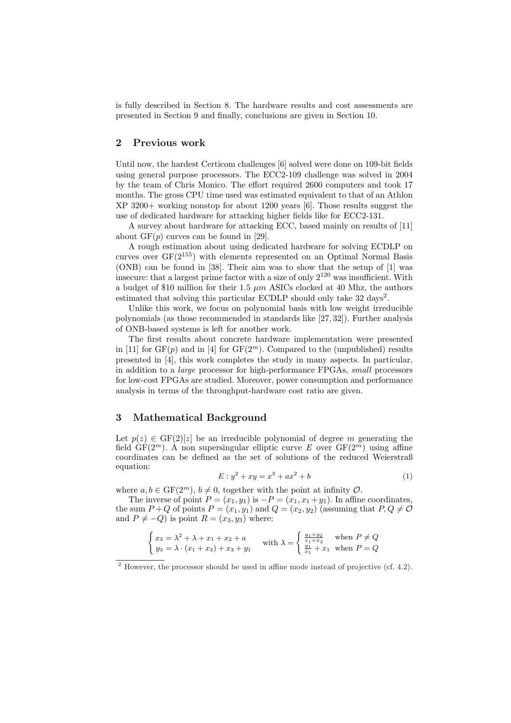is fully described in Section 8. The hardware results and cost assessments are presented in Section 9 and finally, conclusions are given in Section 10.

### 2 Previous work

Until now, the hardest Certicom challenges [6] solved were done on 109-bit fields using general purpose processors. The ECC2-109 challenge was solved in 2004 by the team of Chris Monico. The effort required 2600 computers and took 17 months. The gross CPU time used was estimated equivalent to that of an Athlon XP 3200+ working nonstop for about 1200 years [6]. Those results suggest the use of dedicated hardware for attacking higher fields like for ECC2-131.

A survey about hardware for attacking ECC, based mainly on results of [11] about  $GF(p)$  curves can be found in [29].

A rough estimation about using dedicated hardware for solving ECDLP on curves over  $GF(2^{155})$  with elements represented on an Optimal Normal Basis (ONB) can be found in [38]. Their aim was to show that the setup of [1] was insecure: that a largest prime factor with a size of only 2<sup>120</sup> was insufficient. With a budget of \$10 million for their 1.5  $\mu$ m ASICs clocked at 40 Mhz, the authors estimated that solving this particular ECDLP should only take 32 days<sup>2</sup>.

Unlike this work, we focus on polynomial basis with low weight irreducible polynomials (as those recommended in standards like [27, 32]). Further analysis of ONB-based systems is left for another work.

The first results about concrete hardware implementation were presented in [11] for  $GF(p)$  and in [4] for  $GF(2<sup>m</sup>)$ . Compared to the (unpublished) results presented in [4], this work completes the study in many aspects. In particular, in addition to a large processor for high-performance FPGAs, small processors for low-cost FPGAs are studied. Moreover, power consumption and performance analysis in terms of the throughput-hardware cost ratio are given.

# 3 Mathematical Background

Let  $p(z) \in \text{GF}(2)[z]$  be an irreducible polynomial of degree m generating the field  $GF(2^m)$ . A non supersingular elliptic curve E over  $GF(2^m)$  using affine coordinates can be defined as the set of solutions of the reduced Weierstraß equation:

$$
E: y^2 + xy = x^3 + ax^2 + b \tag{1}
$$

where  $a, b \in \mathrm{GF}(2^m), b \neq 0$ , together with the point at infinity  $\mathcal{O}$ .

The inverse of point  $P = (x_1, y_1)$  is  $-P = (x_1, x_1 + y_1)$ . In affine coordinates, the sum  $P + Q$  of points  $P = (x_1, y_1)$  and  $Q = (x_2, y_2)$  (assuming that  $P, Q \neq O$ and  $P \neq -Q$ ) is point  $R = (x_3, y_3)$  where:

$$
\begin{cases} x_3 = \lambda^2 + \lambda + x_1 + x_2 + a \\ y_3 = \lambda \cdot (x_1 + x_3) + x_3 + y_1 \end{cases}
$$
 with  $\lambda = \begin{cases} \frac{y_1 + y_2}{x_1 + x_2} & \text{when } P \neq Q \\ \frac{y_1}{x_1} + x_1 & \text{when } P = Q \end{cases}$ 

<sup>2</sup> However, the processor should be used in affine mode instead of projective (cf. 4.2).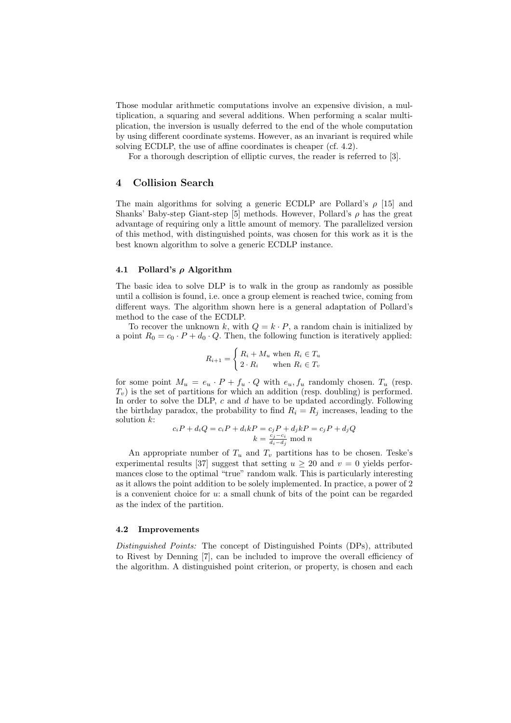Those modular arithmetic computations involve an expensive division, a multiplication, a squaring and several additions. When performing a scalar multiplication, the inversion is usually deferred to the end of the whole computation by using different coordinate systems. However, as an invariant is required while solving ECDLP, the use of affine coordinates is cheaper (cf. 4.2).

For a thorough description of elliptic curves, the reader is referred to [3].

### 4 Collision Search

The main algorithms for solving a generic ECDLP are Pollard's  $\rho$  [15] and Shanks' Baby-step Giant-step [5] methods. However, Pollard's  $\rho$  has the great advantage of requiring only a little amount of memory. The parallelized version of this method, with distinguished points, was chosen for this work as it is the best known algorithm to solve a generic ECDLP instance.

#### 4.1 Pollard's  $\rho$  Algorithm

The basic idea to solve DLP is to walk in the group as randomly as possible until a collision is found, i.e. once a group element is reached twice, coming from different ways. The algorithm shown here is a general adaptation of Pollard's method to the case of the ECDLP.

To recover the unknown k, with  $Q = k \cdot P$ , a random chain is initialized by a point  $R_0 = c_0 \cdot P + d_0 \cdot Q$ . Then, the following function is iteratively applied:

$$
R_{i+1} = \begin{cases} R_i + M_u & \text{when } R_i \in T_u \\ 2 \cdot R_i & \text{when } R_i \in T_v \end{cases}
$$

for some point  $M_u = e_u \cdot P + f_u \cdot Q$  with  $e_u, f_u$  randomly chosen.  $T_u$  (resp.  $T_v$ ) is the set of partitions for which an addition (resp. doubling) is performed. In order to solve the DLP,  $c$  and  $d$  have to be updated accordingly. Following the birthday paradox, the probability to find  $R_i = R_j$  increases, leading to the solution k:

$$
c_i P + d_i Q = c_i P + d_i k P = c_j P + d_j k P = c_j P + d_j Q
$$

$$
k = \frac{c_j - c_i}{d_i - d_j} \mod n
$$

An appropriate number of  $T_u$  and  $T_v$  partitions has to be chosen. Teske's experimental results [37] suggest that setting  $u \geq 20$  and  $v = 0$  yields performances close to the optimal "true" random walk. This is particularly interesting as it allows the point addition to be solely implemented. In practice, a power of 2 is a convenient choice for  $u:$  a small chunk of bits of the point can be regarded as the index of the partition.

### 4.2 Improvements

Distinguished Points: The concept of Distinguished Points (DPs), attributed to Rivest by Denning [7], can be included to improve the overall efficiency of the algorithm. A distinguished point criterion, or property, is chosen and each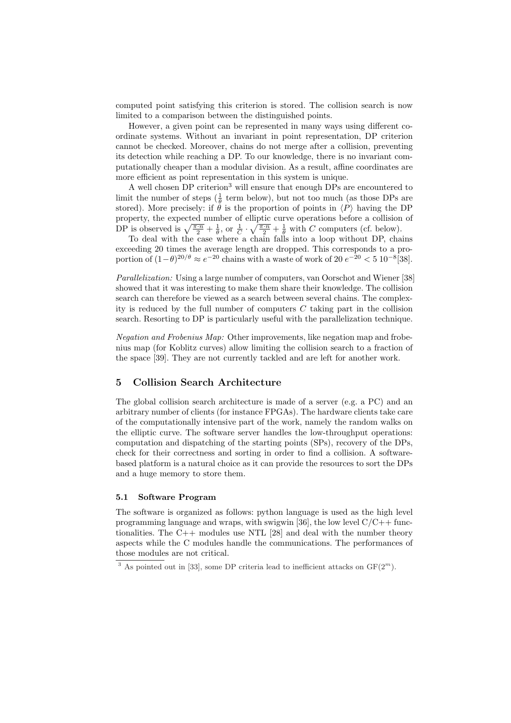computed point satisfying this criterion is stored. The collision search is now limited to a comparison between the distinguished points.

However, a given point can be represented in many ways using different coordinate systems. Without an invariant in point representation, DP criterion cannot be checked. Moreover, chains do not merge after a collision, preventing its detection while reaching a DP. To our knowledge, there is no invariant computationally cheaper than a modular division. As a result, affine coordinates are more efficient as point representation in this system is unique.

A well chosen DP criterion<sup>3</sup> will ensure that enough DPs are encountered to limit the number of steps ( $\frac{1}{\theta}$  term below), but not too much (as those DPs are stored). More precisely: if  $\theta$  is the proportion of points in  $\langle P \rangle$  having the DP property, the expected number of elliptic curve operations before a collision of property, the expected number of emptic curve operations before a comsion<br>DP is observed is  $\sqrt{\frac{\pi \cdot n}{2}} + \frac{1}{\theta}$ , or  $\frac{1}{C} \cdot \sqrt{\frac{\pi \cdot n}{2}} + \frac{1}{\theta}$  with C computers (cf. below).

To deal with the case where a chain falls into a loop without DP, chains exceeding 20 times the average length are dropped. This corresponds to a proportion of  $(1-\theta)^{20/\theta} \approx e^{-20}$  chains with a waste of work of  $20 e^{-20} < 5 \cdot 10^{-8}$ [38].

Parallelization: Using a large number of computers, van Oorschot and Wiener [38] showed that it was interesting to make them share their knowledge. The collision search can therefore be viewed as a search between several chains. The complexity is reduced by the full number of computers  $C$  taking part in the collision search. Resorting to DP is particularly useful with the parallelization technique.

Negation and Frobenius Map: Other improvements, like negation map and frobenius map (for Koblitz curves) allow limiting the collision search to a fraction of the space [39]. They are not currently tackled and are left for another work.

## 5 Collision Search Architecture

The global collision search architecture is made of a server (e.g. a PC) and an arbitrary number of clients (for instance FPGAs). The hardware clients take care of the computationally intensive part of the work, namely the random walks on the elliptic curve. The software server handles the low-throughput operations: computation and dispatching of the starting points (SPs), recovery of the DPs, check for their correctness and sorting in order to find a collision. A softwarebased platform is a natural choice as it can provide the resources to sort the DPs and a huge memory to store them.

### 5.1 Software Program

The software is organized as follows: python language is used as the high level programming language and wraps, with swigwin [36], the low level  $C/C++$  functionalities. The  $C_{++}$  modules use NTL [28] and deal with the number theory aspects while the C modules handle the communications. The performances of those modules are not critical.

<sup>&</sup>lt;sup>3</sup> As pointed out in [33], some DP criteria lead to inefficient attacks on  $GF(2<sup>m</sup>)$ .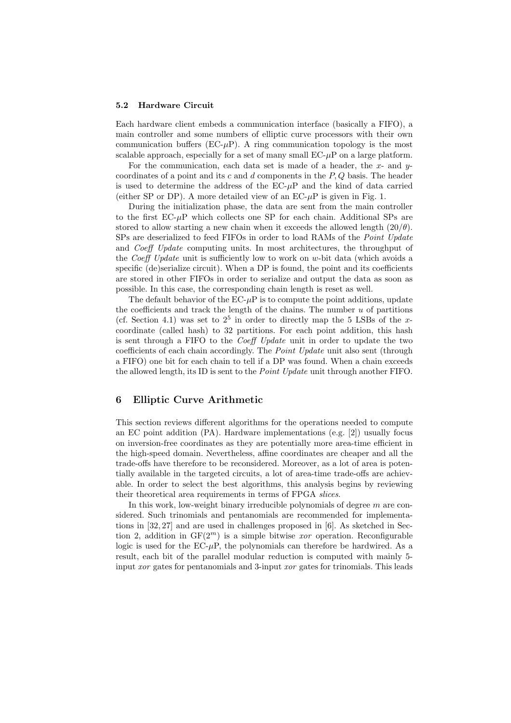#### 5.2 Hardware Circuit

Each hardware client embeds a communication interface (basically a FIFO), a main controller and some numbers of elliptic curve processors with their own communication buffers ( $EC-\mu P$ ). A ring communication topology is the most scalable approach, especially for a set of many small  $EC-\mu P$  on a large platform.

For the communication, each data set is made of a header, the x- and  $y$ coordinates of a point and its c and d components in the  $P, Q$  basis. The header is used to determine the address of the  $EC-uP$  and the kind of data carried (either SP or DP). A more detailed view of an  $EC-\mu P$  is given in Fig. 1.

During the initialization phase, the data are sent from the main controller to the first  $EC-\mu P$  which collects one SP for each chain. Additional SPs are stored to allow starting a new chain when it exceeds the allowed length  $(20/\theta)$ . SPs are deserialized to feed FIFOs in order to load RAMs of the *Point Update* and Coeff Update computing units. In most architectures, the throughput of the Coeff Update unit is sufficiently low to work on w-bit data (which avoids a specific (de)serialize circuit). When a DP is found, the point and its coefficients are stored in other FIFOs in order to serialize and output the data as soon as possible. In this case, the corresponding chain length is reset as well.

The default behavior of the  $EC-\mu P$  is to compute the point additions, update the coefficients and track the length of the chains. The number  $u$  of partitions (cf. Section 4.1) was set to  $2^5$  in order to directly map the 5 LSBs of the xcoordinate (called hash) to 32 partitions. For each point addition, this hash is sent through a FIFO to the Coeff Update unit in order to update the two coefficients of each chain accordingly. The *Point Update* unit also sent (through a FIFO) one bit for each chain to tell if a DP was found. When a chain exceeds the allowed length, its ID is sent to the *Point Update* unit through another FIFO.

### 6 Elliptic Curve Arithmetic

This section reviews different algorithms for the operations needed to compute an EC point addition  $(PA)$ . Hardware implementations  $(e.g. [2])$  usually focus on inversion-free coordinates as they are potentially more area-time efficient in the high-speed domain. Nevertheless, affine coordinates are cheaper and all the trade-offs have therefore to be reconsidered. Moreover, as a lot of area is potentially available in the targeted circuits, a lot of area-time trade-offs are achievable. In order to select the best algorithms, this analysis begins by reviewing their theoretical area requirements in terms of FPGA slices.

In this work, low-weight binary irreducible polynomials of degree  $m$  are considered. Such trinomials and pentanomials are recommended for implementations in [32, 27] and are used in challenges proposed in [6]. As sketched in Section 2, addition in  $GF(2^m)$  is a simple bitwise xor operation. Reconfigurable logic is used for the  $EC-\mu P$ , the polynomials can therefore be hardwired. As a result, each bit of the parallel modular reduction is computed with mainly 5 input xor gates for pentanomials and 3-input xor gates for trinomials. This leads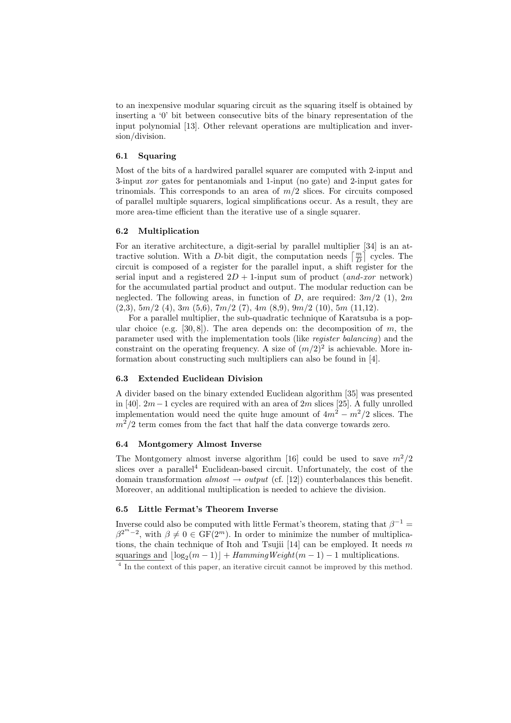to an inexpensive modular squaring circuit as the squaring itself is obtained by inserting a '0' bit between consecutive bits of the binary representation of the input polynomial [13]. Other relevant operations are multiplication and inversion/division.

#### 6.1 Squaring

Most of the bits of a hardwired parallel squarer are computed with 2-input and 3-input xor gates for pentanomials and 1-input (no gate) and 2-input gates for trinomials. This corresponds to an area of  $m/2$  slices. For circuits composed of parallel multiple squarers, logical simplifications occur. As a result, they are more area-time efficient than the iterative use of a single squarer.

### 6.2 Multiplication

For an iterative architecture, a digit-serial by parallel multiplier  $[34]$  is an at-For an iterative architecture, a digit-serial by parallel multiplier [34] is an at-<br>tractive solution. With a D-bit digit, the computation needs  $\left\lceil \frac{m}{D} \right\rceil$  cycles. The circuit is composed of a register for the parallel input, a shift register for the serial input and a registered  $2D + 1$ -input sum of product (and-xor network) for the accumulated partial product and output. The modular reduction can be neglected. The following areas, in function of D, are required:  $3m/2$  (1),  $2m$  $(2,3), 5m/2$  (4), 3m (5,6), 7m/2 (7), 4m (8,9), 9m/2 (10), 5m (11,12).

For a parallel multiplier, the sub-quadratic technique of Karatsuba is a popular choice (e.g. [30,8]). The area depends on: the decomposition of  $m$ , the parameter used with the implementation tools (like register balancing) and the constraint on the operating frequency. A size of  $(m/2)^2$  is achievable. More information about constructing such multipliers can also be found in [4].

#### 6.3 Extended Euclidean Division

A divider based on the binary extended Euclidean algorithm [35] was presented in [40].  $2m-1$  cycles are required with an area of  $2m$  slices [25]. A fully unrolled implementation would need the quite huge amount of  $4m^2 - m^2/2$  slices. The  $m^2/2$  term comes from the fact that half the data converge towards zero.

### 6.4 Montgomery Almost Inverse

The Montgomery almost inverse algorithm [16] could be used to save  $m^2/2$ slices over a parallel<sup>4</sup> Euclidean-based circuit. Unfortunately, the cost of the domain transformation almost  $\rightarrow$  output (cf. [12]) counterbalances this benefit. Moreover, an additional multiplication is needed to achieve the division.

### 6.5 Little Fermat's Theorem Inverse

Inverse could also be computed with little Fermat's theorem, stating that  $\beta^{-1} =$  $\beta^{2^m-2}$ , with  $\beta \neq 0 \in \mathrm{GF}(2^m)$ . In order to minimize the number of multiplications, the chain technique of Itoh and Tsujii [14] can be employed. It needs  $m$ squarings and  $\lfloor log_2(m-1) \rfloor + HammingWeight(m-1) - 1$  multiplications.

<sup>&</sup>lt;sup>4</sup> In the context of this paper, an iterative circuit cannot be improved by this method.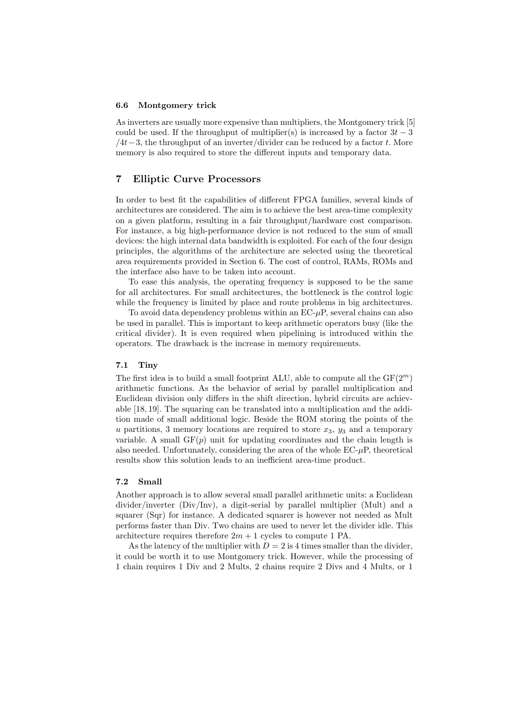#### 6.6 Montgomery trick

As inverters are usually more expensive than multipliers, the Montgomery trick [5] could be used. If the throughput of multiplier(s) is increased by a factor  $3t - 3$  $/4t-3$ , the throughput of an inverter/divider can be reduced by a factor t. More memory is also required to store the different inputs and temporary data.

### 7 Elliptic Curve Processors

In order to best fit the capabilities of different FPGA families, several kinds of architectures are considered. The aim is to achieve the best area-time complexity on a given platform, resulting in a fair throughput/hardware cost comparison. For instance, a big high-performance device is not reduced to the sum of small devices: the high internal data bandwidth is exploited. For each of the four design principles, the algorithms of the architecture are selected using the theoretical area requirements provided in Section 6. The cost of control, RAMs, ROMs and the interface also have to be taken into account.

To ease this analysis, the operating frequency is supposed to be the same for all architectures. For small architectures, the bottleneck is the control logic while the frequency is limited by place and route problems in big architectures.

To avoid data dependency problems within an  $EC_{\mu}P$ , several chains can also be used in parallel. This is important to keep arithmetic operators busy (like the critical divider). It is even required when pipelining is introduced within the operators. The drawback is the increase in memory requirements.

### 7.1 Tiny

The first idea is to build a small footprint ALU, able to compute all the  $GF(2<sup>m</sup>)$ arithmetic functions. As the behavior of serial by parallel multiplication and Euclidean division only differs in the shift direction, hybrid circuits are achievable [18, 19]. The squaring can be translated into a multiplication and the addition made of small additional logic. Beside the ROM storing the points of the u partitions, 3 memory locations are required to store  $x_3$ ,  $y_3$  and a temporary variable. A small  $GF(p)$  unit for updating coordinates and the chain length is also needed. Unfortunately, considering the area of the whole  $EC-\mu P$ , theoretical results show this solution leads to an inefficient area-time product.

#### 7.2 Small

Another approach is to allow several small parallel arithmetic units: a Euclidean divider/inverter (Div/Inv), a digit-serial by parallel multiplier (Mult) and a squarer (Sqr) for instance. A dedicated squarer is however not needed as Mult performs faster than Div. Two chains are used to never let the divider idle. This architecture requires therefore  $2m + 1$  cycles to compute 1 PA.

As the latency of the multiplier with  $D = 2$  is 4 times smaller than the divider, it could be worth it to use Montgomery trick. However, while the processing of 1 chain requires 1 Div and 2 Mults, 2 chains require 2 Divs and 4 Mults, or 1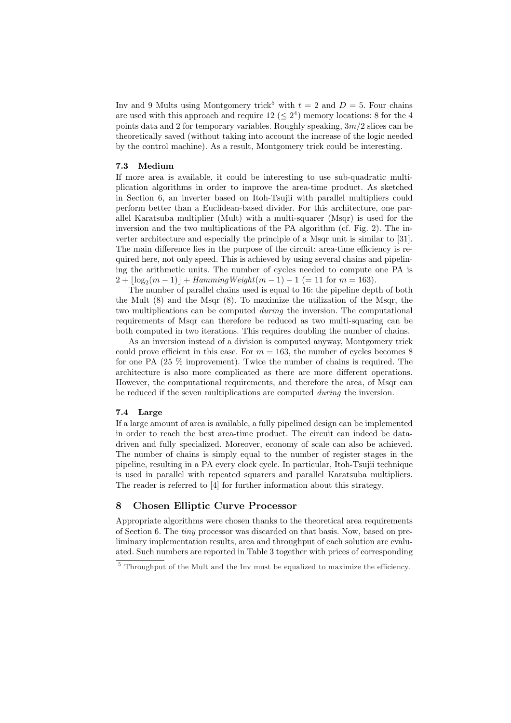Inv and 9 Mults using Montgomery trick<sup>5</sup> with  $t = 2$  and  $D = 5$ . Four chains are used with this approach and require  $12 \ (\leq 2^4)$  memory locations: 8 for the 4 points data and 2 for temporary variables. Roughly speaking,  $3m/2$  slices can be theoretically saved (without taking into account the increase of the logic needed by the control machine). As a result, Montgomery trick could be interesting.

### 7.3 Medium

If more area is available, it could be interesting to use sub-quadratic multiplication algorithms in order to improve the area-time product. As sketched in Section 6, an inverter based on Itoh-Tsujii with parallel multipliers could perform better than a Euclidean-based divider. For this architecture, one parallel Karatsuba multiplier (Mult) with a multi-squarer (Msqr) is used for the inversion and the two multiplications of the PA algorithm (cf. Fig. 2). The inverter architecture and especially the principle of a Msqr unit is similar to [31]. The main difference lies in the purpose of the circuit: area-time efficiency is required here, not only speed. This is achieved by using several chains and pipelining the arithmetic units. The number of cycles needed to compute one PA is  $2 + \lfloor \log_2(m-1) \rfloor + HammingWeight(m-1) - 1$  (= 11 for  $m = 163$ ).

The number of parallel chains used is equal to 16: the pipeline depth of both the Mult (8) and the Msqr (8). To maximize the utilization of the Msqr, the two multiplications can be computed during the inversion. The computational requirements of Msqr can therefore be reduced as two multi-squaring can be both computed in two iterations. This requires doubling the number of chains.

As an inversion instead of a division is computed anyway, Montgomery trick could prove efficient in this case. For  $m = 163$ , the number of cycles becomes 8 for one PA (25 % improvement). Twice the number of chains is required. The architecture is also more complicated as there are more different operations. However, the computational requirements, and therefore the area, of Msqr can be reduced if the seven multiplications are computed during the inversion.

### 7.4 Large

If a large amount of area is available, a fully pipelined design can be implemented in order to reach the best area-time product. The circuit can indeed be datadriven and fully specialized. Moreover, economy of scale can also be achieved. The number of chains is simply equal to the number of register stages in the pipeline, resulting in a PA every clock cycle. In particular, Itoh-Tsujii technique is used in parallel with repeated squarers and parallel Karatsuba multipliers. The reader is referred to [4] for further information about this strategy.

### 8 Chosen Elliptic Curve Processor

Appropriate algorithms were chosen thanks to the theoretical area requirements of Section 6. The tiny processor was discarded on that basis. Now, based on preliminary implementation results, area and throughput of each solution are evaluated. Such numbers are reported in Table 3 together with prices of corresponding

 $5$  Throughput of the Mult and the Inv must be equalized to maximize the efficiency.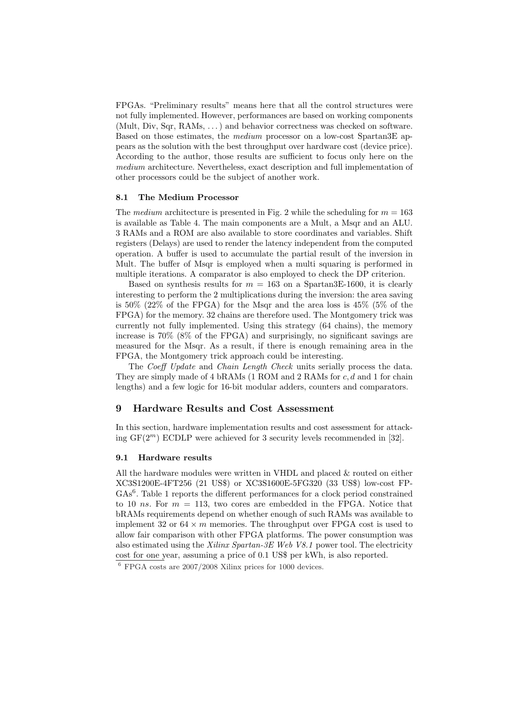FPGAs. "Preliminary results" means here that all the control structures were not fully implemented. However, performances are based on working components (Mult, Div, Sqr, RAMs, ...) and behavior correctness was checked on software. Based on those estimates, the medium processor on a low-cost Spartan3E appears as the solution with the best throughput over hardware cost (device price). According to the author, those results are sufficient to focus only here on the medium architecture. Nevertheless, exact description and full implementation of other processors could be the subject of another work.

### 8.1 The Medium Processor

The medium architecture is presented in Fig. 2 while the scheduling for  $m = 163$ is available as Table 4. The main components are a Mult, a Msqr and an ALU. 3 RAMs and a ROM are also available to store coordinates and variables. Shift registers (Delays) are used to render the latency independent from the computed operation. A buffer is used to accumulate the partial result of the inversion in Mult. The buffer of Msqr is employed when a multi squaring is performed in multiple iterations. A comparator is also employed to check the DP criterion.

Based on synthesis results for  $m = 163$  on a Spartan3E-1600, it is clearly interesting to perform the 2 multiplications during the inversion: the area saving is 50% (22% of the FPGA) for the Msqr and the area loss is 45% (5% of the FPGA) for the memory. 32 chains are therefore used. The Montgomery trick was currently not fully implemented. Using this strategy (64 chains), the memory increase is 70% (8% of the FPGA) and surprisingly, no significant savings are measured for the Msqr. As a result, if there is enough remaining area in the FPGA, the Montgomery trick approach could be interesting.

The Coeff Update and Chain Length Check units serially process the data. They are simply made of 4 bRAMs (1 ROM and 2 RAMs for  $c, d$  and 1 for chain lengths) and a few logic for 16-bit modular adders, counters and comparators.

# 9 Hardware Results and Cost Assessment

In this section, hardware implementation results and cost assessment for attacking  $GF(2<sup>m</sup>)$  ECDLP were achieved for 3 security levels recommended in [32].

### 9.1 Hardware results

All the hardware modules were written in VHDL and placed & routed on either XC3S1200E-4FT256 (21 US\$) or XC3S1600E-5FG320 (33 US\$) low-cost FP-GAs<sup>6</sup>. Table 1 reports the different performances for a clock period constrained to 10 ns. For  $m = 113$ , two cores are embedded in the FPGA. Notice that bRAMs requirements depend on whether enough of such RAMs was available to implement 32 or  $64 \times m$  memories. The throughput over FPGA cost is used to allow fair comparison with other FPGA platforms. The power consumption was also estimated using the Xilinx Spartan-3E Web V8.1 power tool. The electricity cost for one year, assuming a price of 0.1 US\$ per kWh, is also reported.

 $6$  FPGA costs are 2007/2008 Xilinx prices for 1000 devices.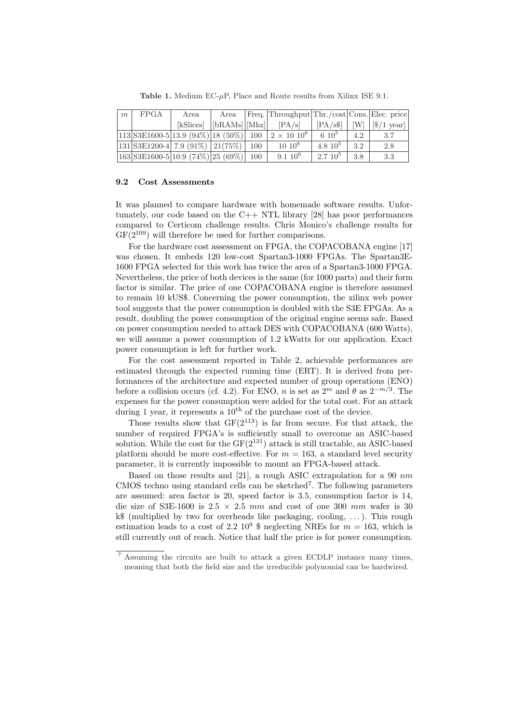| m | FPGA | Area                                               | Area |     | Freq. Throughput Thr./cost Cons. Elec. price                      |             |     |                     |
|---|------|----------------------------------------------------|------|-----|-------------------------------------------------------------------|-------------|-----|---------------------|
|   |      | [kSlices]                                          |      |     | $[\text{bRAMs}][\text{Mhz}]$ $[\text{PA/s}]$                      | $[PA/s\$    |     | $[W]$   [\$/1 year] |
|   |      |                                                    |      |     | 113  S3E1600-5  13.9 (94%)  18 (50%)  100   $2 \times 10^{-10^6}$ | $6 \; 10^5$ | 4.2 | 3.7                 |
|   |      | $131$ S3E1200-4 7.9 (91%) $21(75%)$                |      | 100 | $10 \; 10^6$                                                      | $4.8~10^5$  | 3.2 | 2.8                 |
|   |      | $\left  163 \right $ S3E1600-5 10.9 (74%) 25 (69%) |      | 100 | $9.1 \ 10^6$                                                      | $2.7~10^5$  | 3.8 | 3.3                 |

**Table 1.** Medium EC- $\mu$ P, Place and Route results from Xilinx ISE 9.1.

#### 9.2 Cost Assessments

It was planned to compare hardware with homemade software results. Unfortunately, our code based on the C++ NTL library [28] has poor performances compared to Certicom challenge results. Chris Monico's challenge results for  $GF(2^{109})$  will therefore be used for further comparisons.

For the hardware cost assessment on FPGA, the COPACOBANA engine [17] was chosen. It embeds 120 low-cost Spartan3-1000 FPGAs. The Spartan3E-1600 FPGA selected for this work has twice the area of a Spartan3-1000 FPGA. Nevertheless, the price of both devices is the same (for 1000 parts) and their form factor is similar. The price of one COPACOBANA engine is therefore assumed to remain 10 kUS\$. Concerning the power consumption, the xilinx web power tool suggests that the power consumption is doubled with the S3E FPGAs. As a result, doubling the power consumption of the original engine seems safe. Based on power consumption needed to attack DES with COPACOBANA (600 Watts), we will assume a power consumption of 1.2 kWatts for our application. Exact power consumption is left for further work.

For the cost assessment reported in Table 2, achievable performances are estimated through the expected running time (ERT). It is derived from performances of the architecture and expected number of group operations (ENO) before a collision occurs (cf. 4.2). For ENO, n is set as  $2^m$  and  $\theta$  as  $2^{-m/3}$ . The expenses for the power consumption were added for the total cost. For an attack during 1 year, it represents a  $10^{th}$  of the purchase cost of the device.

Those results show that  $GF(2^{113})$  is far from secure. For that attack, the number of required FPGA's is sufficiently small to overcome an ASIC-based solution. While the cost for the  $GF(2^{131})$  attack is still tractable, an ASIC-based platform should be more cost-effective. For  $m = 163$ , a standard level security parameter, it is currently impossible to mount an FPGA-based attack.

Based on those results and [21], a rough ASIC extrapolation for a 90  $nm$ CMOS techno using standard cells can be sketched<sup>7</sup>. The following parameters are assumed: area factor is 20, speed factor is 3.5, consumption factor is 14, die size of S3E-1600 is  $2.5 \times 2.5$  mm and cost of one 300 mm wafer is 30 k\$ (multiplied by two for overheads like packaging, cooling, . . . ). This rough estimation leads to a cost of 2.2  $10^9$  \$ neglecting NREs for  $m = 163$ , which is still currently out of reach. Notice that half the price is for power consumption.

<sup>7</sup> Assuming the circuits are built to attack a given ECDLP instance many times, meaning that both the field size and the irreducible polynomial can be hardwired.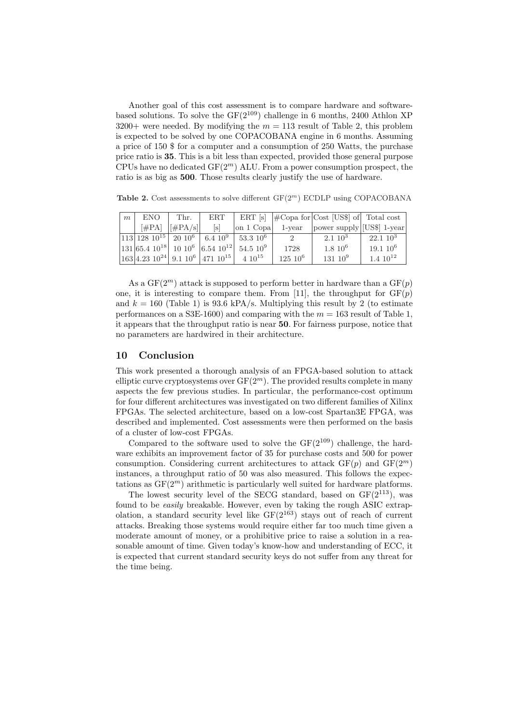Another goal of this cost assessment is to compare hardware and softwarebased solutions. To solve the  $GF(2^{109})$  challenge in 6 months, 2400 Athlon XP 3200+ were needed. By modifying the  $m = 113$  result of Table 2, this problem is expected to be solved by one COPACOBANA engine in 6 months. Assuming a price of 150 \$ for a computer and a consumption of 250 Watts, the purchase price ratio is 35. This is a bit less than expected, provided those general purpose CPUs have no dedicated  $GF(2<sup>m</sup>)$  ALU. From a power consumption prospect, the ratio is as big as 500. Those results clearly justify the use of hardware.

Table 2. Cost assessments to solve different  $GF(2<sup>m</sup>)$  ECDLP using COPACOBANA

| m | ENO-                                                | Thr.                | ERT               |                                                                                                     |               | ERT $[s]$ $\# \text{Copa}$ for $\text{Cost}$ [US\$] of Total cost |                |
|---|-----------------------------------------------------|---------------------|-------------------|-----------------------------------------------------------------------------------------------------|---------------|-------------------------------------------------------------------|----------------|
|   |                                                     | $[\#PA]$ $[\#PA/s]$ | $\lceil s \rceil$ | on 1 Copal                                                                                          | $1$ -vear     | $ power \text{ supply} $ [US\$] 1-year]                           |                |
|   |                                                     |                     |                   | $\boxed{113}$ $\boxed{128 \ 10^{15}$ $\boxed{20 \ 10^6}$ $\boxed{6.4 \ 10^9}$ $\boxed{53.3 \ 10^6}$ | 2             | $2.1~10^3$                                                        | $22.1\,10^{3}$ |
|   |                                                     |                     |                   | $ 131 65.4 10^{18} $ 10 10 <sup>6</sup> $ 6.54 10^{12} $ 54.5 10 <sup>9</sup>                       | 1728          | $1.8 \; 10^6$                                                     | $19.110^6$     |
|   | $ 163 4.23 10^{24} 9.1 10^{6} 471 10^{15} 410^{15}$ |                     |                   |                                                                                                     | $125 \; 10^6$ | $131~10^9$                                                        | $1.4~10^{12}$  |

As a  $GF(2^m)$  attack is supposed to perform better in hardware than a  $GF(p)$ one, it is interesting to compare them. From [11], the throughput for  $GF(p)$ and  $k = 160$  (Table 1) is 93.6 kPA/s. Multiplying this result by 2 (to estimate performances on a S3E-1600) and comparing with the  $m = 163$  result of Table 1, it appears that the throughput ratio is near 50. For fairness purpose, notice that no parameters are hardwired in their architecture.

### 10 Conclusion

This work presented a thorough analysis of an FPGA-based solution to attack elliptic curve cryptosystems over  $GF(2<sup>m</sup>)$ . The provided results complete in many aspects the few previous studies. In particular, the performance-cost optimum for four different architectures was investigated on two different families of Xilinx FPGAs. The selected architecture, based on a low-cost Spartan3E FPGA, was described and implemented. Cost assessments were then performed on the basis of a cluster of low-cost FPGAs.

Compared to the software used to solve the  $GF(2^{109})$  challenge, the hardware exhibits an improvement factor of 35 for purchase costs and 500 for power consumption. Considering current architectures to attack  $GF(p)$  and  $GF(2<sup>m</sup>)$ instances, a throughput ratio of 50 was also measured. This follows the expectations as  $GF(2^m)$  arithmetic is particularly well suited for hardware platforms.

The lowest security level of the SECG standard, based on  $GF(2^{113})$ , was found to be easily breakable. However, even by taking the rough ASIC extrapolation, a standard security level like  $GF(2^{163})$  stays out of reach of current attacks. Breaking those systems would require either far too much time given a moderate amount of money, or a prohibitive price to raise a solution in a reasonable amount of time. Given today's know-how and understanding of ECC, it is expected that current standard security keys do not suffer from any threat for the time being.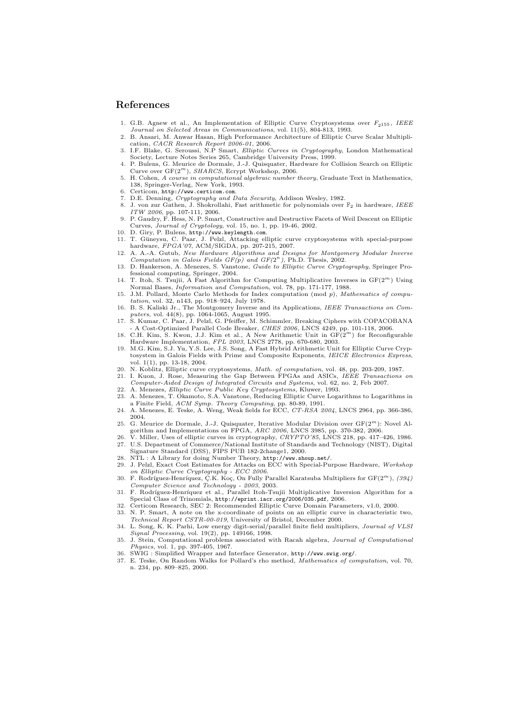### References

- 1. G.B. Agnew et al., An Implementation of Elliptic Curve Cryptosystems over  $F_{2155}$ , IEEE Journal on Selected Areas in Communications, vol. 11(5), 804-813, 1993.
- 2. B. Ansari, M. Anwar Hasan, High Performance Architecture of Elliptic Curve Scalar Multiplication, CACR Research Report 2006-01, 2006.
- 3. I.F. Blake, G. Seroussi, N.P Smart, Elliptic Curves in Cryptography, London Mathematical Society, Lecture Notes Series 265, Cambridge University Press, 1999. 4. P. Bulens, G. Meurice de Dormale, J.-J. Quisquater, Hardware for Collision Search on Elliptic
- Curve over  $GF(2^m)$ ,  $SHARCS$ , Ecrypt Workshop, 2006. 5. H. Cohen, A course in computational algebraic number theory, Graduate Text in Mathematics,
- 138, Springer-Verlag, New York, 1993. 6. Certicom, http://www.certicom.com.
- D.E. Denning, Cryptography and Data Security, Addison Wesley, 1982.
- 8. J. von zur Gathen, J. Shokrollahi, Fast arithmetic for polynomials over  $\mathbb{F}_2$  in hardware, IEEE ITW 2006, pp. 107-111, 2006.
- 9. P. Gaudry, F. Hess, N. P. Smart, Constructive and Destructive Facets of Weil Descent on Elliptic Curves, Journal of Cryptology, vol. 15, no. 1, pp. 19-46, 2002.
- 10. D. Giry, P. Bulens, http://www.keylength.com.
- 11. T. Güneysu, C. Paar, J. Pelzl, Attacking elliptic curve cryptosystems with special-purpose hardware, FPGA'07, ACM/SIGDA, pp. 207-215, 2007.<br>12. A. A.-A. Gutub, New Hardware Algorithms and Designs for Montgomery Modular Inverse
- Computation in Galois Fields  $GF(p)$  and  $GF(2<sup>n</sup>)$ , Ph.D. Thesis, 2002. 13. D. Hankerson, A. Menezes, S. Vanstone, Guide to Elliptic Curve Cryptography, Springer Pro-
- fessional computing, Springer, 2004.
- 14. T. Itoh, S. Tsujii, A Fast Algorithm for Computing Multiplicative Inverses in  $GF(2^m)$  Using Normal Bases, *Information and Computation*, vol. 78, pp. 171-177, 1988. 15. J.M. Pollard, Monte Carlo Methods for Index computation (mod  $p$ ), Mathematics of compu-
- tation, vol. 32, n143, pp. 918–924, July 1978. 16. B. S. Kaliski Jr., The Montgomery Inverse and its Applications, IEEE Transactions on Com-
- puters, vol. 44(8), pp. 1064-1065, August 1995. 17. S. Kumar, C. Paar, J. Pelzl, G. Pfeiffer, M. Schimmler, Breaking Ciphers with COPACOBANA
- A Cost-Optimized Parallel Code Breaker, *CHES 2006*, LNCS 4249, pp. 101-118, 2006.<br>18. C.H. Kim, S. Kwon, J.J. Kim et al., A New Arithmetic Unit in GF(2<sup>m</sup>) for Reconfigurable
- Hardware Implementation, FPL 2003, LNCS 2778, pp. 670-680, 2003.
- 19. M.G. Kim, S.J. Yu, Y.S. Lee, J.S. Song, A Fast Hybrid Arithmetic Unit for Elliptic Curve Cryptosystem in Galois Fields with Prime and Composite Exponents, IEICE Electronics Express, vol. 1(1), pp. 13-18, 2004.
- 20. N. Koblitz, Elliptic curve cryptosystems, *Math. of computation*, vol. 48, pp. 203-209, 1987.<br>21. I. Kuon, J. Rose, Measuring the Gap Between FPGAs and ASICs, *IEEE Transactions on*
- Computer-Aided Design of Integrated Circuits and Systems, vol. 62, no. 2, Feb 2007.
- 22. A. Menezes, Elliptic Curve Public Key Cryptosystems, Kluwer, 1993. 23. A. Menezes, T. Okamoto, S.A. Vanstone, Reducing Elliptic Curve Logarithms to Logarithms in
- a Finite Field, ACM Symp. Theory Computing, pp. 80-89, 1991. 24. A. Menezes, E. Teske, A. Weng, Weak fields for ECC, CT-RSA 2004, LNCS 2964, pp. 366-386, 2004.
- 25. G. Meurice de Dormale, J.-J. Quisquater, Iterative Modular Division over GF(2m): Novel Algorithm and Implementations on FPGA, ARC 2006, LNCS 3985, pp. 370-382, 2006.
- 26. V. Miller, Uses of elliptic curves in cryptography, *CRYPTO'85*, LNCS 218, pp. 417–426, 1986.<br>27. U.S. Department of Commerce/National Institute of Standards and Technology (NIST). Digital 27. U.S. Department of Commerce/National Institute of Standards and Technology (NIST), Digital
- Signature Standard (DSS), FIPS PUB 182-2change1, 2000.
- 28. NTL : A Library for doing Number Theory, **http://www.shoup.net/.**<br>29. J. Pelzl, Exact Cost Estimates for Attacks on ECC with Special-Purpose Hardware, *Workshop*
- on Elliptic Curve Cryptography ECC 2006.<br>30. F. Rodríguez-Henríquez, Ç.K. Koç, On Fully Parallel Karatsuba Multipliers for GF(2<sup>m</sup>), (394)<br>Computer Science and Technology 2003, 2003.
- 31. F. Rodríguez-Henríquez et al., Parallel Itoh-Tsujii Multiplicative Inversion Algorithm for a Special Class of Trinomials, http://eprint.iacr.org/2006/035.pdf, 2006.
- 32. Certicom Research, SEC 2: Recommended Elliptic Curve Domain Parameters, v1.0, 2000.
- 33. N. P. Smart, A note on the x-coordinate of points on an elliptic curve in characteristic two, Technical Report CSTR-00-019, University of Bristol, December 2000.
- 34. L. Song, K. K. Parhi, Low energy digit-serial/parallel finite field multipliers, Journal of VLSI Signal Processing, vol. 19(2), pp. 149166, 1998. 35. J. Stein, Computational problems associated with Racah algebra, Journal of Computational
- Physics, vol. 1, pp. 397-405, 1967.
- 36. SWIG : Simplified Wrapper and Interface Generator, http://www.swig.org/.
- 37. E. Teske, On Random Walks for Pollard's rho method, Mathematics of computation, vol. 70, n. 234, pp. 809–825, 2000.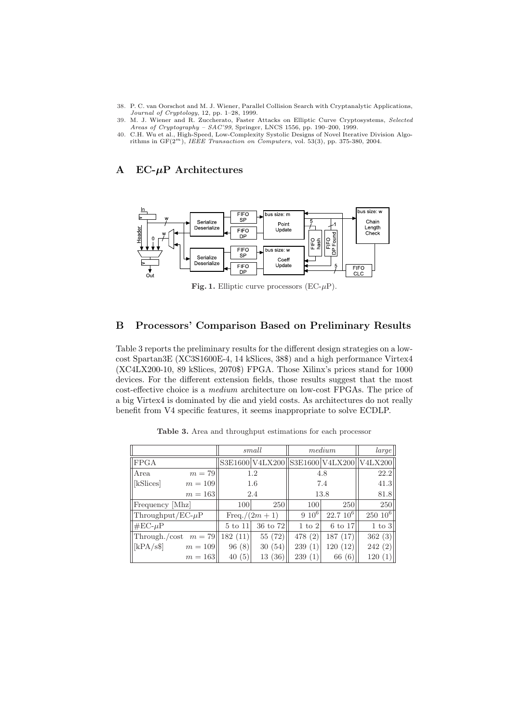- 38. P. C. van Oorschot and M. J. Wiener, Parallel Collision Search with Cryptanalytic Applications, Journal of Cryptology, 12, pp. 1–28, 1999.
- 39. M. J. Wiener and R. Zuccherato, Faster Attacks on Elliptic Curve Cryptosystems, Selected Areas of Cryptography -  $SAC'99$ , Springer, LNCS 1556, pp. 190-200, 1999.
- 40. C.H. Wu et al., High-Speed, Low-Complexity Systolic Designs of Novel Iterative Division Algorithms in  $GF(2^m)$ , IEEE Transaction on Computers, vol. 53(3), pp. 375-380, 2004.

# A EC- $\mu$ P Architectures



Fig. 1. Elliptic curve processors (EC- $\mu$ P).

# B Processors' Comparison Based on Preliminary Results

Table 3 reports the preliminary results for the different design strategies on a lowcost Spartan3E (XC3S1600E-4, 14 kSlices, 38\$) and a high performance Virtex4 (XC4LX200-10, 89 kSlices, 2070\$) FPGA. Those Xilinx's prices stand for 1000 devices. For the different extension fields, those results suggest that the most cost-effective choice is a medium architecture on low-cost FPGAs. The price of a big Virtex4 is dominated by die and yield costs. As architectures do not really benefit from V4 specific features, it seems inappropriate to solve ECDLP.

|                            |           |         | small             | medium            | large       |                                         |
|----------------------------|-----------|---------|-------------------|-------------------|-------------|-----------------------------------------|
| ${\rm FPGA}$               |           |         |                   |                   |             | S3E1600 V4LX200 S3E1600 V4LX200 V4LX200 |
| Area                       | $m=79$    | 1.2     |                   | 4.8               |             | 22.2                                    |
| [kSlices]                  | $m = 109$ | 1.6     |                   | 7.4               |             | 41.3                                    |
|                            | $m = 163$ |         | 2.4               |                   | 13.8        | 81.8                                    |
| Frequency [Mhz]            |           | 100     | 250               | 100               | 250         | 250                                     |
| Throughput/ $EC$ - $\mu$ P |           |         | Freq./ $(2m + 1)$ | $9~10^6$          | $22.7~10^6$ | $250 \; 10^6$                           |
| $\#EC-\mu P$               |           | 5 to 11 | 36 to 72          | $1 \text{ to } 2$ | 6 to 17     | $1 \text{ to } 3$                       |
| Through./cost $m = 79$     |           | 182(11) | 55(72)            | 478 (2)           | 187(17)     | 362(3)                                  |
| [kPA/s\$]                  | $m = 109$ | 96(8)   | 30(54)            | 239(1)            | 120(12)     | 242(2)                                  |
|                            | $m = 163$ | 40(5)   | 13(36)            | 239(1)            | 66(6)       | 120                                     |

Table 3. Area and throughput estimations for each processor